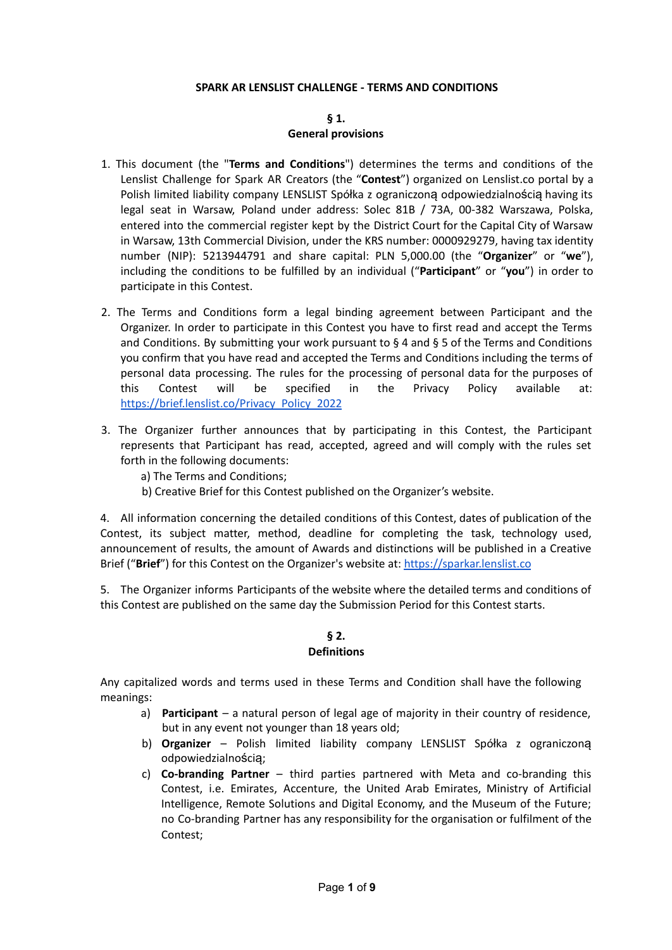### **SPARK AR LENSLIST CHALLENGE - TERMS AND CONDITIONS**

### **§ 1.**

#### **General provisions**

- 1. This document (the "**Terms and Conditions**") determines the terms and conditions of the Lenslist Challenge for Spark AR Creators (the "**Contest**") organized on Lenslist.co portal by a Polish limited liability company LENSLIST Spółka z ograniczoną odpowiedzialnością having its legal seat in Warsaw, Poland under address: Solec 81B / 73A, 00-382 Warszawa, Polska, entered into the commercial register kept by the District Court for the Capital City of Warsaw in Warsaw, 13th Commercial Division, under the KRS number: 0000929279, having tax identity number (NIP): 5213944791 and share capital: PLN 5,000.00 (the "**Organizer**" or "**we**"), including the conditions to be fulfilled by an individual ("**Participant**" or "**you**") in order to participate in this Contest.
- 2. The Terms and Conditions form a legal binding agreement between Participant and the Organizer. In order to participate in this Contest you have to first read and accept the Terms and Conditions. By submitting your work pursuant to  $\S 4$  and  $\S 5$  of the Terms and Conditions you confirm that you have read and accepted the Terms and Conditions including the terms of personal data processing. The rules for the processing of personal data for the purposes of this Contest will be specified in the Privacy Policy available at: [https://brief.lenslist.co/Privacy\\_Policy\\_2022](https://brief.lenslist.co/Privacy_Policy_2022)
- 3. The Organizer further announces that by participating in this Contest, the Participant represents that Participant has read, accepted, agreed and will comply with the rules set forth in the following documents:
	- a) The Terms and Conditions;
	- b) Creative Brief for this Contest published on the Organizer's website.

4. All information concerning the detailed conditions of this Contest, dates of publication of the Contest, its subject matter, method, deadline for completing the task, technology used, announcement of results, the amount of Awards and distinctions will be published in a Creative Brief ("**Brief**") for this Contest on the Organizer's website at: <https://sparkar.lenslist.co>

5. The Organizer informs Participants of the website where the detailed terms and conditions of this Contest are published on the same day the Submission Period for this Contest starts.

## **§ 2. Definitions**

Any capitalized words and terms used in these Terms and Condition shall have the following meanings:

- a) **Participant** a natural person of legal age of majority in their country of residence, but in any event not younger than 18 years old;
- b) **Organizer** Polish limited liability company LENSLIST Spółka z ograniczoną odpowiedzialnością;
- c) **Co-branding Partner** third parties partnered with Meta and co-branding this Contest, i.e. Emirates, Accenture, the United Arab Emirates, Ministry of Artificial Intelligence, Remote Solutions and Digital Economy, and the Museum of the Future; no Co-branding Partner has any responsibility for the organisation or fulfilment of the Contest;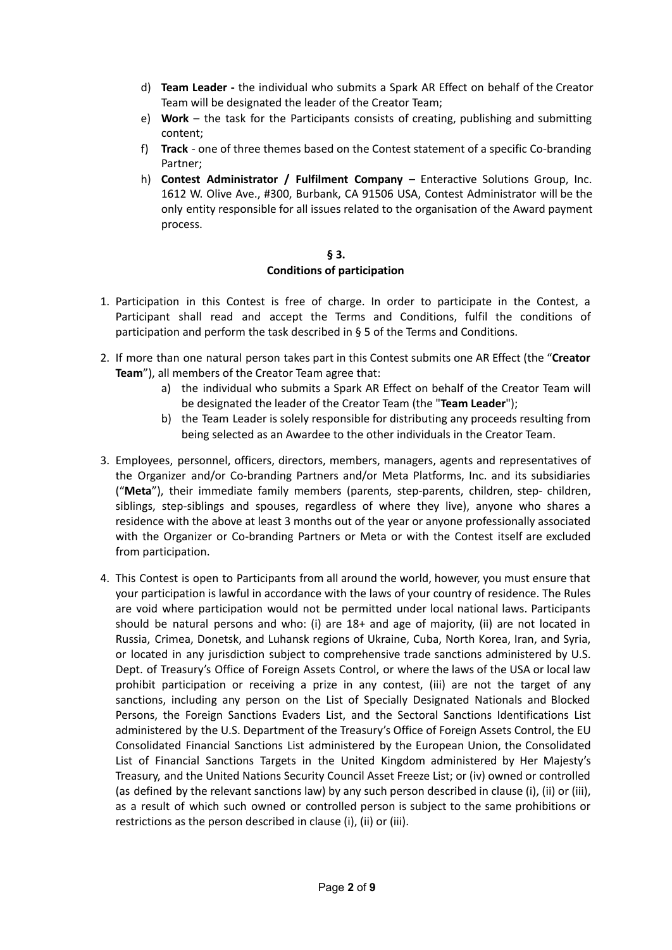- d) **Team Leader -** the individual who submits a Spark AR Effect on behalf of the Creator Team will be designated the leader of the Creator Team;
- e) **Work** the task for the Participants consists of creating, publishing and submitting content;
- f) **Track** one of three themes based on the Contest statement of a specific Co-branding Partner;
- h) **Contest Administrator / Fulfilment Company** Enteractive Solutions Group, Inc. 1612 W. Olive Ave., #300, Burbank, CA 91506 USA, Contest Administrator will be the only entity responsible for all issues related to the organisation of the Award payment process.

### **§ 3. Conditions of participation**

- 1. Participation in this Contest is free of charge. In order to participate in the Contest, a Participant shall read and accept the Terms and Conditions, fulfil the conditions of participation and perform the task described in § 5 of the Terms and Conditions.
- 2. If more than one natural person takes part in this Contest submits one AR Effect (the "**Creator Team**"), all members of the Creator Team agree that:
	- a) the individual who submits a Spark AR Effect on behalf of the Creator Team will be designated the leader of the Creator Team (the "**Team Leader**");
	- b) the Team Leader is solely responsible for distributing any proceeds resulting from being selected as an Awardee to the other individuals in the Creator Team.
- 3. Employees, personnel, officers, directors, members, managers, agents and representatives of the Organizer and/or Co-branding Partners and/or Meta Platforms, Inc. and its subsidiaries ("**Meta**"), their immediate family members (parents, step-parents, children, step- children, siblings, step-siblings and spouses, regardless of where they live), anyone who shares a residence with the above at least 3 months out of the year or anyone professionally associated with the Organizer or Co-branding Partners or Meta or with the Contest itself are excluded from participation.
- 4. This Contest is open to Participants from all around the world, however, you must ensure that your participation is lawful in accordance with the laws of your country of residence. The Rules are void where participation would not be permitted under local national laws. Participants should be natural persons and who: (i) are 18+ and age of majority, (ii) are not located in Russia, Crimea, Donetsk, and Luhansk regions of Ukraine, Cuba, North Korea, Iran, and Syria, or located in any jurisdiction subject to comprehensive trade sanctions administered by U.S. Dept. of Treasury's Office of Foreign Assets Control, or where the laws of the USA or local law prohibit participation or receiving a prize in any contest, (iii) are not the target of any sanctions, including any person on the List of Specially Designated Nationals and Blocked Persons, the Foreign Sanctions Evaders List, and the Sectoral Sanctions Identifications List administered by the U.S. Department of the Treasury's Office of Foreign Assets Control, the EU Consolidated Financial Sanctions List administered by the European Union, the Consolidated List of Financial Sanctions Targets in the United Kingdom administered by Her Majesty's Treasury, and the United Nations Security Council Asset Freeze List; or (iv) owned or controlled (as defined by the relevant sanctions law) by any such person described in clause (i), (ii) or (iii), as a result of which such owned or controlled person is subject to the same prohibitions or restrictions as the person described in clause (i), (ii) or (iii).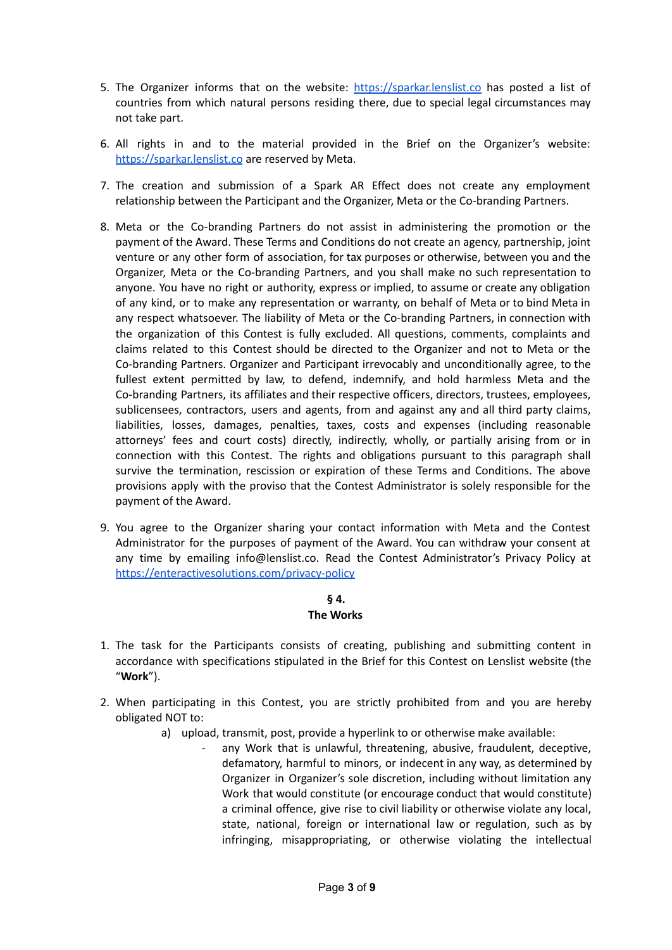- 5. The Organizer informs that on the website: <https://sparkar.lenslist.co> has posted a list of countries from which natural persons residing there, due to special legal circumstances may not take part.
- 6. All rights in and to the material provided in the Brief on the Organizer's website: <https://sparkar.lenslist.co> are reserved by Meta.
- 7. The creation and submission of a Spark AR Effect does not create any employment relationship between the Participant and the Organizer, Meta or the Co-branding Partners.
- 8. Meta or the Co-branding Partners do not assist in administering the promotion or the payment of the Award. These Terms and Conditions do not create an agency, partnership, joint venture or any other form of association, for tax purposes or otherwise, between you and the Organizer, Meta or the Co-branding Partners, and you shall make no such representation to anyone. You have no right or authority, express or implied, to assume or create any obligation of any kind, or to make any representation or warranty, on behalf of Meta or to bind Meta in any respect whatsoever. The liability of Meta or the Co-branding Partners, in connection with the organization of this Contest is fully excluded. All questions, comments, complaints and claims related to this Contest should be directed to the Organizer and not to Meta or the Co-branding Partners. Organizer and Participant irrevocably and unconditionally agree, to the fullest extent permitted by law, to defend, indemnify, and hold harmless Meta and the Co-branding Partners, its affiliates and their respective officers, directors, trustees, employees, sublicensees, contractors, users and agents, from and against any and all third party claims, liabilities, losses, damages, penalties, taxes, costs and expenses (including reasonable attorneys' fees and court costs) directly, indirectly, wholly, or partially arising from or in connection with this Contest. The rights and obligations pursuant to this paragraph shall survive the termination, rescission or expiration of these Terms and Conditions. The above provisions apply with the proviso that the Contest Administrator is solely responsible for the payment of the Award.
- 9. You agree to the Organizer sharing your contact information with Meta and the Contest Administrator for the purposes of payment of the Award. You can withdraw your consent at any time by emailing info@lenslist.co. Read the Contest Administrator's Privacy Policy at <https://enteractivesolutions.com/privacy-policy>

# **§ 4.**

# **The Works**

- 1. The task for the Participants consists of creating, publishing and submitting content in accordance with specifications stipulated in the Brief for this Contest on Lenslist website (the "**Work**").
- 2. When participating in this Contest, you are strictly prohibited from and you are hereby obligated NOT to:
	- a) upload, transmit, post, provide a hyperlink to or otherwise make available:
		- any Work that is unlawful, threatening, abusive, fraudulent, deceptive, defamatory, harmful to minors, or indecent in any way, as determined by Organizer in Organizer's sole discretion, including without limitation any Work that would constitute (or encourage conduct that would constitute) a criminal offence, give rise to civil liability or otherwise violate any local, state, national, foreign or international law or regulation, such as by infringing, misappropriating, or otherwise violating the intellectual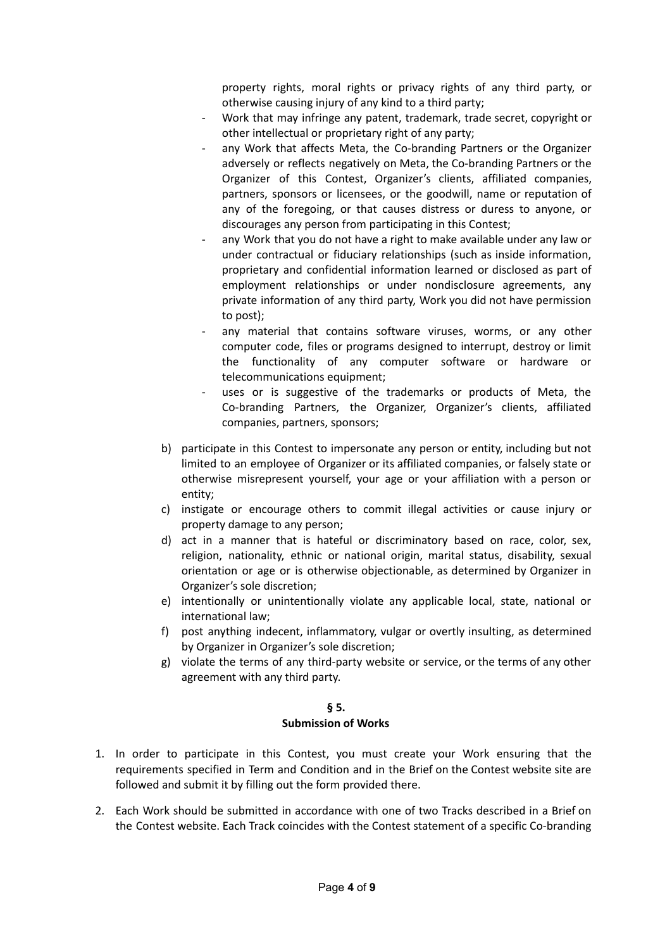property rights, moral rights or privacy rights of any third party, or otherwise causing injury of any kind to a third party;

- Work that may infringe any patent, trademark, trade secret, copyright or other intellectual or proprietary right of any party;
- any Work that affects Meta, the Co-branding Partners or the Organizer adversely or reflects negatively on Meta, the Co-branding Partners or the Organizer of this Contest, Organizer's clients, affiliated companies, partners, sponsors or licensees, or the goodwill, name or reputation of any of the foregoing, or that causes distress or duress to anyone, or discourages any person from participating in this Contest;
- any Work that you do not have a right to make available under any law or under contractual or fiduciary relationships (such as inside information, proprietary and confidential information learned or disclosed as part of employment relationships or under nondisclosure agreements, any private information of any third party, Work you did not have permission to post);
- any material that contains software viruses, worms, or any other computer code, files or programs designed to interrupt, destroy or limit the functionality of any computer software or hardware or telecommunications equipment;
- uses or is suggestive of the trademarks or products of Meta, the Co-branding Partners, the Organizer, Organizer's clients, affiliated companies, partners, sponsors;
- b) participate in this Contest to impersonate any person or entity, including but not limited to an employee of Organizer or its affiliated companies, or falsely state or otherwise misrepresent yourself, your age or your affiliation with a person or entity;
- c) instigate or encourage others to commit illegal activities or cause injury or property damage to any person;
- d) act in a manner that is hateful or discriminatory based on race, color, sex, religion, nationality, ethnic or national origin, marital status, disability, sexual orientation or age or is otherwise objectionable, as determined by Organizer in Organizer's sole discretion;
- e) intentionally or unintentionally violate any applicable local, state, national or international law;
- f) post anything indecent, inflammatory, vulgar or overtly insulting, as determined by Organizer in Organizer's sole discretion;
- g) violate the terms of any third-party website or service, or the terms of any other agreement with any third party.

#### **§ 5.**

#### **Submission of Works**

- 1. In order to participate in this Contest, you must create your Work ensuring that the requirements specified in Term and Condition and in the Brief on the Contest website site are followed and submit it by filling out the form provided there.
- 2. Each Work should be submitted in accordance with one of two Tracks described in a Brief on the Contest website. Each Track coincides with the Contest statement of a specific Co-branding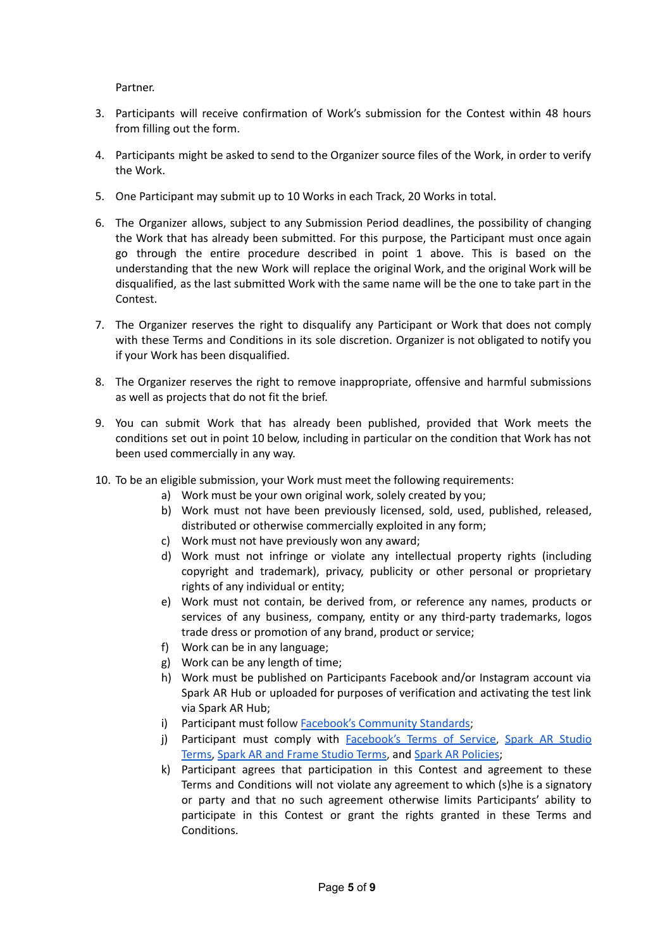Partner.

- 3. Participants will receive confirmation of Work's submission for the Contest within 48 hours from filling out the form.
- 4. Participants might be asked to send to the Organizer source files of the Work, in order to verify the Work.
- 5. One Participant may submit up to 10 Works in each Track, 20 Works in total.
- 6. The Organizer allows, subject to any Submission Period deadlines, the possibility of changing the Work that has already been submitted. For this purpose, the Participant must once again go through the entire procedure described in point 1 above. This is based on the understanding that the new Work will replace the original Work, and the original Work will be disqualified, as the last submitted Work with the same name will be the one to take part in the Contest.
- 7. The Organizer reserves the right to disqualify any Participant or Work that does not comply with these Terms and Conditions in its sole discretion. Organizer is not obligated to notify you if your Work has been disqualified.
- 8. The Organizer reserves the right to remove inappropriate, offensive and harmful submissions as well as projects that do not fit the brief.
- 9. You can submit Work that has already been published, provided that Work meets the conditions set out in point 10 below, including in particular on the condition that Work has not been used commercially in any way.
- 10. To be an eligible submission, your Work must meet the following requirements:
	- a) Work must be your own original work, solely created by you;
	- b) Work must not have been previously licensed, sold, used, published, released, distributed or otherwise commercially exploited in any form;
	- c) Work must not have previously won any award;
	- d) Work must not infringe or violate any intellectual property rights (including copyright and trademark), privacy, publicity or other personal or proprietary rights of any individual or entity;
	- e) Work must not contain, be derived from, or reference any names, products or services of any business, company, entity or any third-party trademarks, logos trade dress or promotion of any brand, product or service;
	- f) Work can be in any language;
	- g) Work can be any length of time;
	- h) Work must be published on Participants Facebook and/or Instagram account via Spark AR Hub or uploaded for purposes of verification and activating the test link via Spark AR Hub;
	- i) Participant must follow Facebook's [Community](https://transparency.fb.com/en-gb/policies/community-standards/) Standards;
	- j) Participant must comply with [Facebook's](https://www.facebook.com/terms) Terms of Service, Spark AR [Studio](https://sparkar.facebook.com/ar-studio/terms/) [Terms,](https://sparkar.facebook.com/ar-studio/terms/) Spark AR and Frame [Studio](https://www.facebook.com/legal/camera_effects_platform_terms) Terms, and Spark AR [Policies](https://sparkar.facebook.com/ar-studio/learn/publishing/spark-ar-review-policies/);
	- k) Participant agrees that participation in this Contest and agreement to these Terms and Conditions will not violate any agreement to which (s)he is a signatory or party and that no such agreement otherwise limits Participants' ability to participate in this Contest or grant the rights granted in these Terms and Conditions.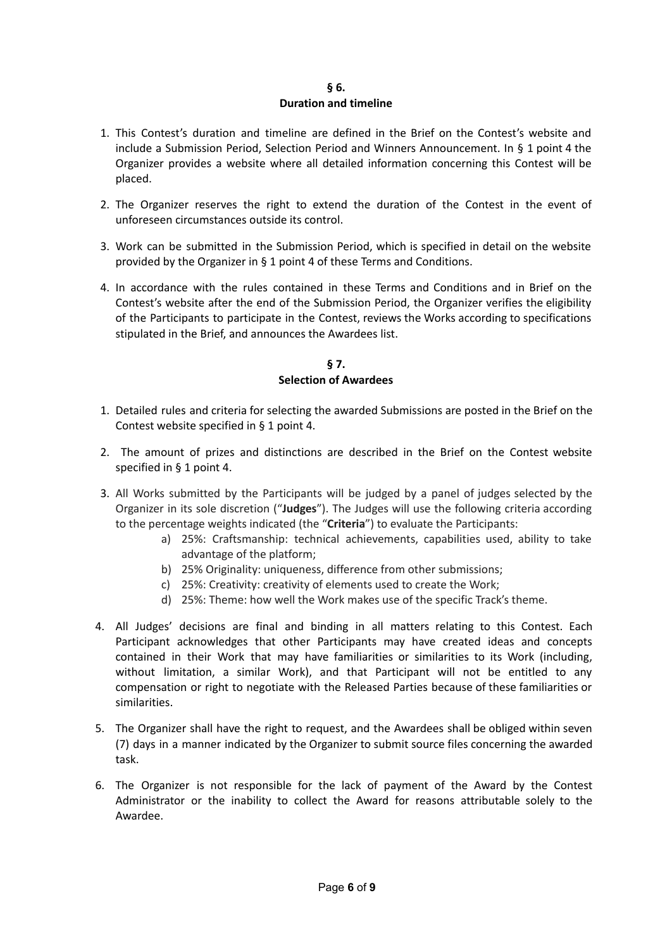#### **§ 6. Duration and timeline**

- 1. This Contest's duration and timeline are defined in the Brief on the Contest's website and include a Submission Period, Selection Period and Winners Announcement. In § 1 point 4 the Organizer provides a website where all detailed information concerning this Contest will be placed.
- 2. The Organizer reserves the right to extend the duration of the Contest in the event of unforeseen circumstances outside its control.
- 3. Work can be submitted in the Submission Period, which is specified in detail on the website provided by the Organizer in § 1 point 4 of these Terms and Conditions.
- 4. In accordance with the rules contained in these Terms and Conditions and in Brief on the Contest's website after the end of the Submission Period, the Organizer verifies the eligibility of the Participants to participate in the Contest, reviews the Works according to specifications stipulated in the Brief, and announces the Awardees list.

# **§ 7. Selection of Awardees**

- 1. Detailed rules and criteria for selecting the awarded Submissions are posted in the Brief on the Contest website specified in § 1 point 4.
- 2. The amount of prizes and distinctions are described in the Brief on the Contest website specified in § 1 point 4.
- 3. All Works submitted by the Participants will be judged by a panel of judges selected by the Organizer in its sole discretion ("**Judges**"). The Judges will use the following criteria according to the percentage weights indicated (the "**Criteria**") to evaluate the Participants:
	- a) 25%: Craftsmanship: technical achievements, capabilities used, ability to take advantage of the platform;
	- b) 25% Originality: uniqueness, difference from other submissions;
	- c) 25%: Creativity: creativity of elements used to create the Work;
	- d) 25%: Theme: how well the Work makes use of the specific Track's theme.
- 4. All Judges' decisions are final and binding in all matters relating to this Contest. Each Participant acknowledges that other Participants may have created ideas and concepts contained in their Work that may have familiarities or similarities to its Work (including, without limitation, a similar Work), and that Participant will not be entitled to any compensation or right to negotiate with the Released Parties because of these familiarities or similarities.
- 5. The Organizer shall have the right to request, and the Awardees shall be obliged within seven (7) days in a manner indicated by the Organizer to submit source files concerning the awarded task.
- 6. The Organizer is not responsible for the lack of payment of the Award by the Contest Administrator or the inability to collect the Award for reasons attributable solely to the Awardee.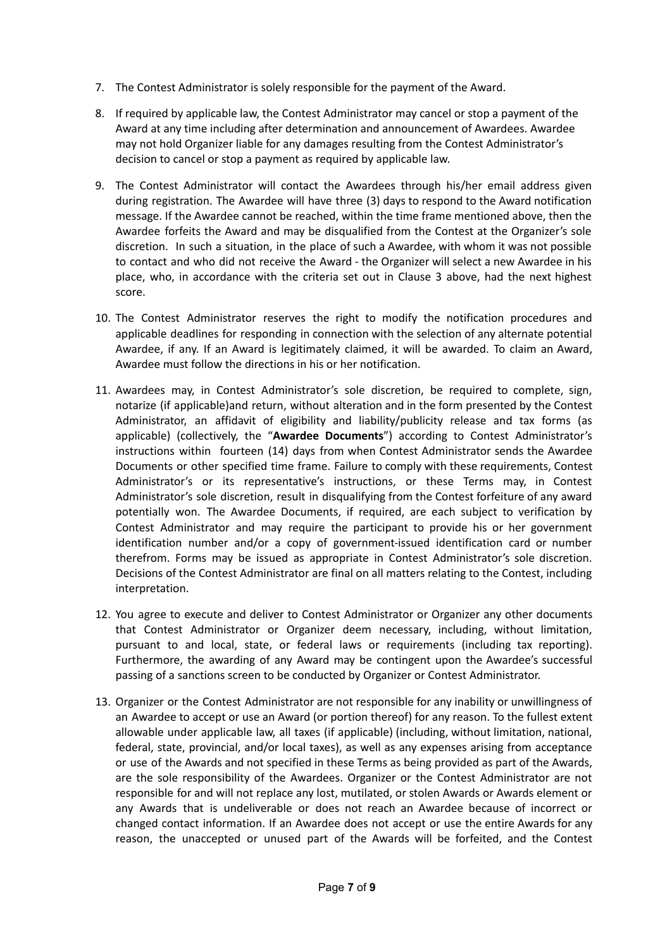- 7. The Contest Administrator is solely responsible for the payment of the Award.
- 8. If required by applicable law, the Contest Administrator may cancel or stop a payment of the Award at any time including after determination and announcement of Awardees. Awardee may not hold Organizer liable for any damages resulting from the Contest Administrator's decision to cancel or stop a payment as required by applicable law.
- 9. The Contest Administrator will contact the Awardees through his/her email address given during registration. The Awardee will have three (3) days to respond to the Award notification message. If the Awardee cannot be reached, within the time frame mentioned above, then the Awardee forfeits the Award and may be disqualified from the Contest at the Organizer's sole discretion. In such a situation, in the place of such a Awardee, with whom it was not possible to contact and who did not receive the Award - the Organizer will select a new Awardee in his place, who, in accordance with the criteria set out in Clause 3 above, had the next highest score.
- 10. The Contest Administrator reserves the right to modify the notification procedures and applicable deadlines for responding in connection with the selection of any alternate potential Awardee, if any. If an Award is legitimately claimed, it will be awarded. To claim an Award, Awardee must follow the directions in his or her notification.
- 11. Awardees may, in Contest Administrator's sole discretion, be required to complete, sign, notarize (if applicable)and return, without alteration and in the form presented by the Contest Administrator, an affidavit of eligibility and liability/publicity release and tax forms (as applicable) (collectively, the "**Awardee Documents**") according to Contest Administrator's instructions within fourteen (14) days from when Contest Administrator sends the Awardee Documents or other specified time frame. Failure to comply with these requirements, Contest Administrator's or its representative's instructions, or these Terms may, in Contest Administrator's sole discretion, result in disqualifying from the Contest forfeiture of any award potentially won. The Awardee Documents, if required, are each subject to verification by Contest Administrator and may require the participant to provide his or her government identification number and/or a copy of government-issued identification card or number therefrom. Forms may be issued as appropriate in Contest Administrator's sole discretion. Decisions of the Contest Administrator are final on all matters relating to the Contest, including interpretation.
- 12. You agree to execute and deliver to Contest Administrator or Organizer any other documents that Contest Administrator or Organizer deem necessary, including, without limitation, pursuant to and local, state, or federal laws or requirements (including tax reporting). Furthermore, the awarding of any Award may be contingent upon the Awardee's successful passing of a sanctions screen to be conducted by Organizer or Contest Administrator.
- 13. Organizer or the Contest Administrator are not responsible for any inability or unwillingness of an Awardee to accept or use an Award (or portion thereof) for any reason. To the fullest extent allowable under applicable law, all taxes (if applicable) (including, without limitation, national, federal, state, provincial, and/or local taxes), as well as any expenses arising from acceptance or use of the Awards and not specified in these Terms as being provided as part of the Awards, are the sole responsibility of the Awardees. Organizer or the Contest Administrator are not responsible for and will not replace any lost, mutilated, or stolen Awards or Awards element or any Awards that is undeliverable or does not reach an Awardee because of incorrect or changed contact information. If an Awardee does not accept or use the entire Awards for any reason, the unaccepted or unused part of the Awards will be forfeited, and the Contest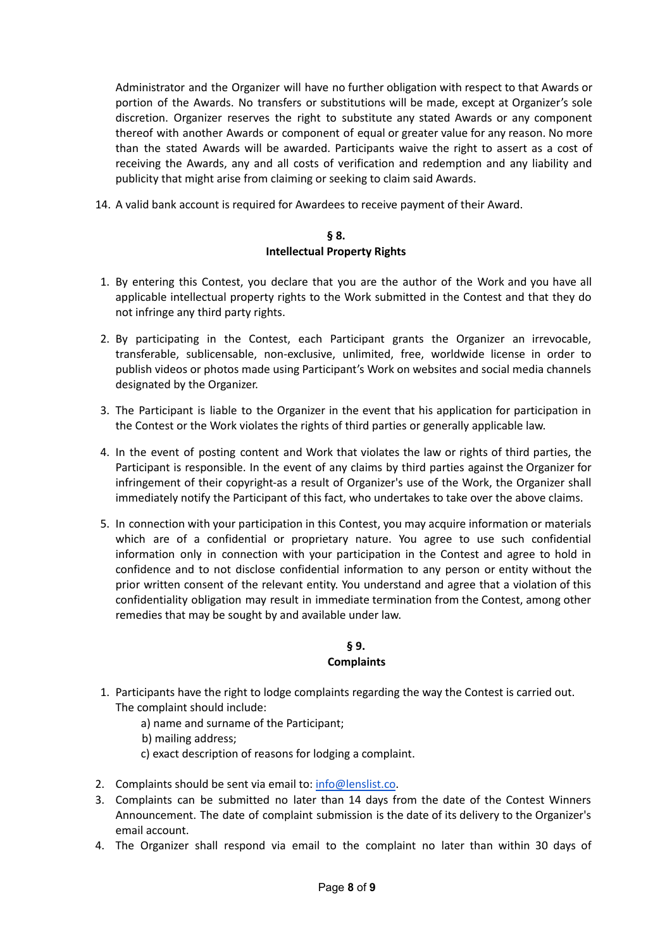Administrator and the Organizer will have no further obligation with respect to that Awards or portion of the Awards. No transfers or substitutions will be made, except at Organizer's sole discretion. Organizer reserves the right to substitute any stated Awards or any component thereof with another Awards or component of equal or greater value for any reason. No more than the stated Awards will be awarded. Participants waive the right to assert as a cost of receiving the Awards, any and all costs of verification and redemption and any liability and publicity that might arise from claiming or seeking to claim said Awards.

14. A valid bank account is required for Awardees to receive payment of their Award.

## **§ 8. Intellectual Property Rights**

- 1. By entering this Contest, you declare that you are the author of the Work and you have all applicable intellectual property rights to the Work submitted in the Contest and that they do not infringe any third party rights.
- 2. By participating in the Contest, each Participant grants the Organizer an irrevocable, transferable, sublicensable, non-exclusive, unlimited, free, worldwide license in order to publish videos or photos made using Participant's Work on websites and social media channels designated by the Organizer.
- 3. The Participant is liable to the Organizer in the event that his application for participation in the Contest or the Work violates the rights of third parties or generally applicable law.
- 4. In the event of posting content and Work that violates the law or rights of third parties, the Participant is responsible. In the event of any claims by third parties against the Organizer for infringement of their copyright-as a result of Organizer's use of the Work, the Organizer shall immediately notify the Participant of this fact, who undertakes to take over the above claims.
- 5. In connection with your participation in this Contest, you may acquire information or materials which are of a confidential or proprietary nature. You agree to use such confidential information only in connection with your participation in the Contest and agree to hold in confidence and to not disclose confidential information to any person or entity without the prior written consent of the relevant entity. You understand and agree that a violation of this confidentiality obligation may result in immediate termination from the Contest, among other remedies that may be sought by and available under law.

# **§ 9. Complaints**

- 1. Participants have the right to lodge complaints regarding the way the Contest is carried out. The complaint should include:
	- a) name and surname of the Participant;
	- b) mailing address;
	- c) exact description of reasons for lodging a complaint.
- 2. Complaints should be sent via email to: [info@lenslist.co](mailto:info@lenslist.co).
- 3. Complaints can be submitted no later than 14 days from the date of the Contest Winners Announcement. The date of complaint submission is the date of its delivery to the Organizer's email account.
- 4. The Organizer shall respond via email to the complaint no later than within 30 days of